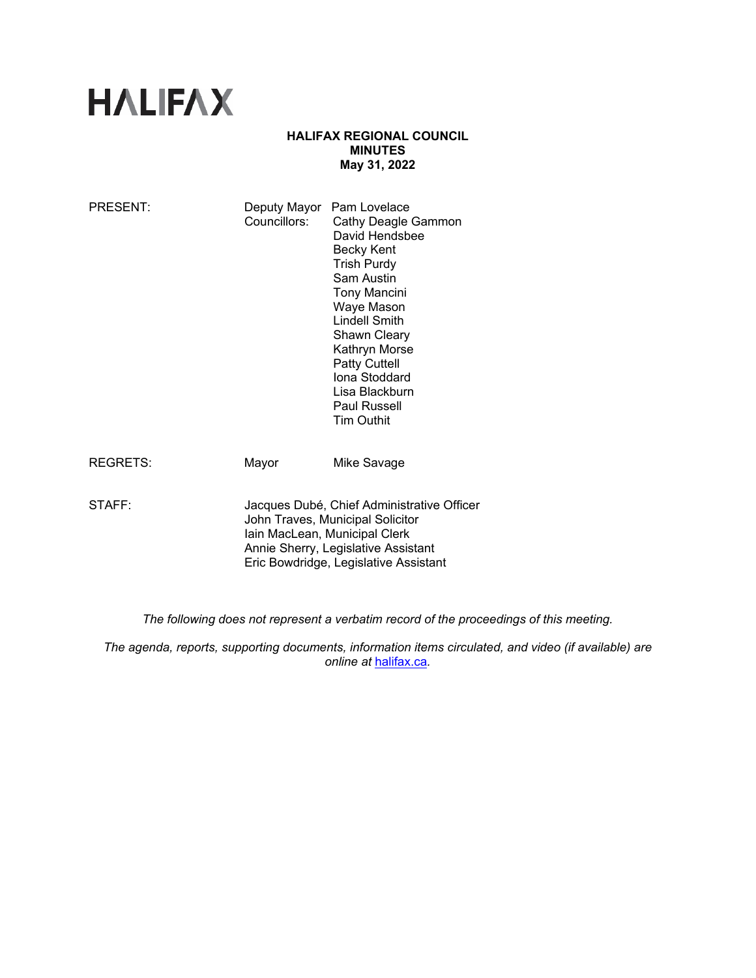# **HALIFAX**

## **HALIFAX REGIONAL COUNCIL MINUTES May 31, 2022**

| PRESENT:        | Deputy Mayor Pam Lovelace<br>Councillors:                                                                                                                                                       | Cathy Deagle Gammon<br>David Hendsbee<br>Becky Kent<br><b>Trish Purdy</b><br>Sam Austin<br><b>Tony Mancini</b><br>Waye Mason<br><b>Lindell Smith</b><br><b>Shawn Cleary</b><br>Kathryn Morse<br>Patty Cuttell<br>Iona Stoddard<br>Lisa Blackburn<br>Paul Russell<br><b>Tim Outhit</b> |
|-----------------|-------------------------------------------------------------------------------------------------------------------------------------------------------------------------------------------------|---------------------------------------------------------------------------------------------------------------------------------------------------------------------------------------------------------------------------------------------------------------------------------------|
| <b>REGRETS:</b> | Mayor                                                                                                                                                                                           | Mike Savage                                                                                                                                                                                                                                                                           |
| STAFF:          | Jacques Dubé, Chief Administrative Officer<br>John Traves, Municipal Solicitor<br>Iain MacLean, Municipal Clerk<br>Annie Sherry, Legislative Assistant<br>Eric Bowdridge, Legislative Assistant |                                                                                                                                                                                                                                                                                       |

*The following does not represent a verbatim record of the proceedings of this meeting.* 

*The agenda, reports, supporting documents, information items circulated, and video (if available) are online at* halifax.ca*.*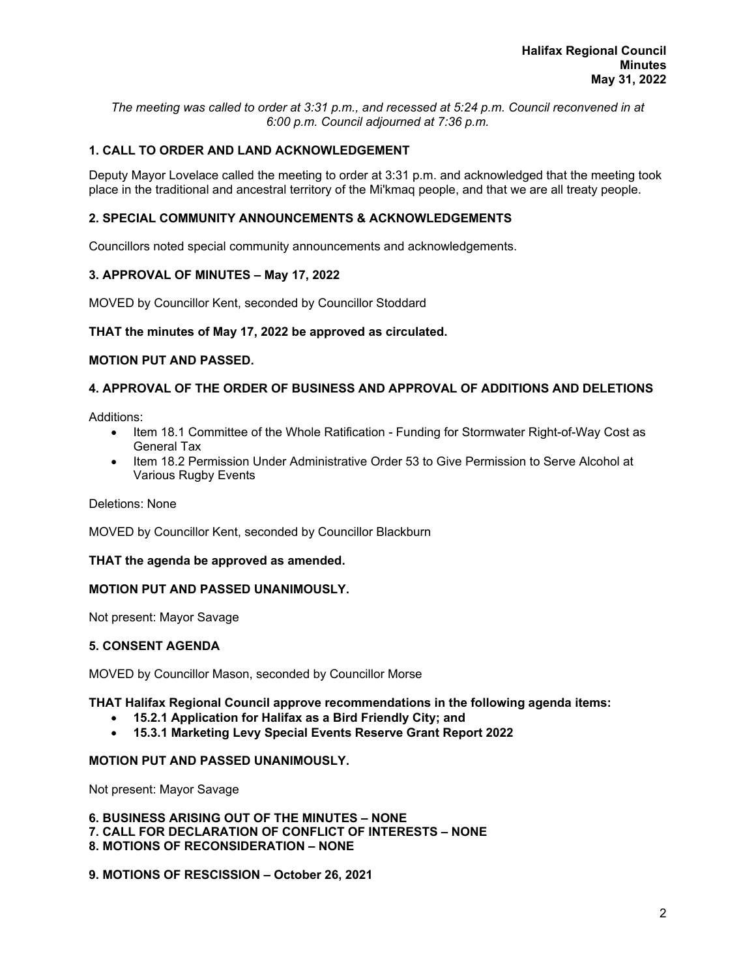*The meeting was called to order at 3:31 p.m., and recessed at 5:24 p.m. Council reconvened in at 6:00 p.m. Council adjourned at 7:36 p.m.* 

## **1. CALL TO ORDER AND LAND ACKNOWLEDGEMENT**

Deputy Mayor Lovelace called the meeting to order at 3:31 p.m. and acknowledged that the meeting took place in the traditional and ancestral territory of the Mi'kmaq people, and that we are all treaty people.

## **2. SPECIAL COMMUNITY ANNOUNCEMENTS & ACKNOWLEDGEMENTS**

Councillors noted special community announcements and acknowledgements.

## **3. APPROVAL OF MINUTES – May 17, 2022**

MOVED by Councillor Kent, seconded by Councillor Stoddard

## **THAT the minutes of May 17, 2022 be approved as circulated.**

## **MOTION PUT AND PASSED.**

## **4. APPROVAL OF THE ORDER OF BUSINESS AND APPROVAL OF ADDITIONS AND DELETIONS**

Additions:

- Item 18.1 Committee of the Whole Ratification Funding for Stormwater Right-of-Way Cost as General Tax
- Item 18.2 Permission Under Administrative Order 53 to Give Permission to Serve Alcohol at Various Rugby Events

Deletions: None

MOVED by Councillor Kent, seconded by Councillor Blackburn

## **THAT the agenda be approved as amended.**

## **MOTION PUT AND PASSED UNANIMOUSLY.**

Not present: Mayor Savage

## **5. CONSENT AGENDA**

MOVED by Councillor Mason, seconded by Councillor Morse

## **THAT Halifax Regional Council approve recommendations in the following agenda items:**

- **15.2.1 Application for Halifax as a Bird Friendly City; and**
- **15.3.1 Marketing Levy Special Events Reserve Grant Report 2022**

## **MOTION PUT AND PASSED UNANIMOUSLY.**

Not present: Mayor Savage

**6. BUSINESS ARISING OUT OF THE MINUTES – NONE 7. CALL FOR DECLARATION OF CONFLICT OF INTERESTS – NONE 8. MOTIONS OF RECONSIDERATION – NONE** 

## **9. MOTIONS OF RESCISSION – October 26, 2021**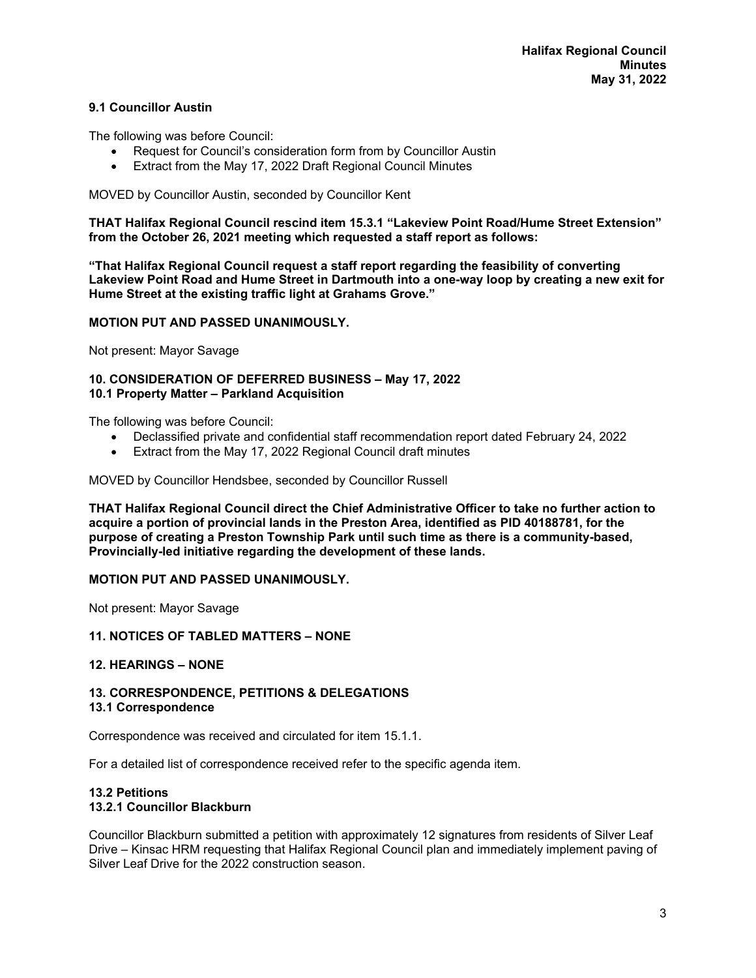## **9.1 Councillor Austin**

The following was before Council:

- Request for Council's consideration form from by Councillor Austin
- Extract from the May 17, 2022 Draft Regional Council Minutes

MOVED by Councillor Austin, seconded by Councillor Kent

**THAT Halifax Regional Council rescind item 15.3.1 "Lakeview Point Road/Hume Street Extension" from the October 26, 2021 meeting which requested a staff report as follows:** 

**"That Halifax Regional Council request a staff report regarding the feasibility of converting Lakeview Point Road and Hume Street in Dartmouth into a one-way loop by creating a new exit for Hume Street at the existing traffic light at Grahams Grove."** 

#### **MOTION PUT AND PASSED UNANIMOUSLY.**

Not present: Mayor Savage

## **10. CONSIDERATION OF DEFERRED BUSINESS – May 17, 2022 10.1 Property Matter – Parkland Acquisition**

The following was before Council:

- Declassified private and confidential staff recommendation report dated February 24, 2022
- Extract from the May 17, 2022 Regional Council draft minutes

MOVED by Councillor Hendsbee, seconded by Councillor Russell

**THAT Halifax Regional Council direct the Chief Administrative Officer to take no further action to acquire a portion of provincial lands in the Preston Area, identified as PID 40188781, for the purpose of creating a Preston Township Park until such time as there is a community-based, Provincially-led initiative regarding the development of these lands.** 

## **MOTION PUT AND PASSED UNANIMOUSLY.**

Not present: Mayor Savage

## **11. NOTICES OF TABLED MATTERS – NONE**

## **12. HEARINGS – NONE**

## **13. CORRESPONDENCE, PETITIONS & DELEGATIONS**

## **13.1 Correspondence**

Correspondence was received and circulated for item 15.1.1.

For a detailed list of correspondence received refer to the specific agenda item.

# **13.2 Petitions**

## **13.2.1 Councillor Blackburn**

Councillor Blackburn submitted a petition with approximately 12 signatures from residents of Silver Leaf Drive – Kinsac HRM requesting that Halifax Regional Council plan and immediately implement paving of Silver Leaf Drive for the 2022 construction season.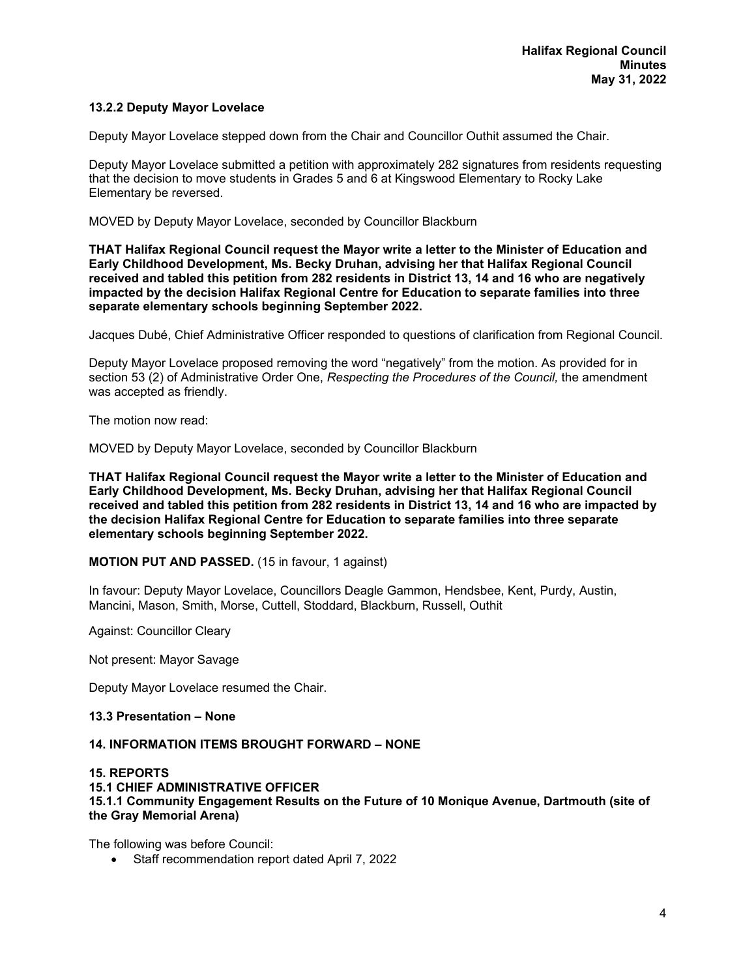## **13.2.2 Deputy Mayor Lovelace**

Deputy Mayor Lovelace stepped down from the Chair and Councillor Outhit assumed the Chair.

Deputy Mayor Lovelace submitted a petition with approximately 282 signatures from residents requesting that the decision to move students in Grades 5 and 6 at Kingswood Elementary to Rocky Lake Elementary be reversed.

MOVED by Deputy Mayor Lovelace, seconded by Councillor Blackburn

**THAT Halifax Regional Council request the Mayor write a letter to the Minister of Education and Early Childhood Development, Ms. Becky Druhan, advising her that Halifax Regional Council received and tabled this petition from 282 residents in District 13, 14 and 16 who are negatively impacted by the decision Halifax Regional Centre for Education to separate families into three separate elementary schools beginning September 2022.** 

Jacques Dubé, Chief Administrative Officer responded to questions of clarification from Regional Council.

Deputy Mayor Lovelace proposed removing the word "negatively" from the motion. As provided for in section 53 (2) of Administrative Order One, *Respecting the Procedures of the Council,* the amendment was accepted as friendly.

The motion now read:

MOVED by Deputy Mayor Lovelace, seconded by Councillor Blackburn

**THAT Halifax Regional Council request the Mayor write a letter to the Minister of Education and Early Childhood Development, Ms. Becky Druhan, advising her that Halifax Regional Council received and tabled this petition from 282 residents in District 13, 14 and 16 who are impacted by the decision Halifax Regional Centre for Education to separate families into three separate elementary schools beginning September 2022.** 

**MOTION PUT AND PASSED.** (15 in favour, 1 against)

In favour: Deputy Mayor Lovelace, Councillors Deagle Gammon, Hendsbee, Kent, Purdy, Austin, Mancini, Mason, Smith, Morse, Cuttell, Stoddard, Blackburn, Russell, Outhit

Against: Councillor Cleary

Not present: Mayor Savage

Deputy Mayor Lovelace resumed the Chair.

## **13.3 Presentation – None**

## **14. INFORMATION ITEMS BROUGHT FORWARD – NONE**

## **15. REPORTS 15.1 CHIEF ADMINISTRATIVE OFFICER 15.1.1 Community Engagement Results on the Future of 10 Monique Avenue, Dartmouth (site of the Gray Memorial Arena)**

The following was before Council:

Staff recommendation report dated April 7, 2022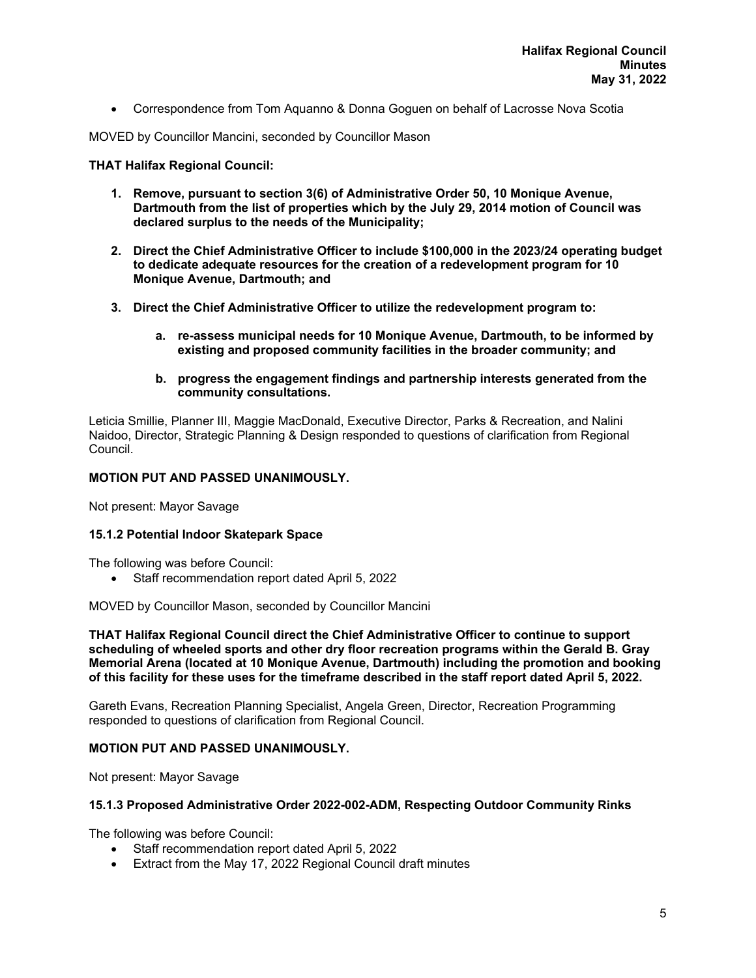Correspondence from Tom Aquanno & Donna Goguen on behalf of Lacrosse Nova Scotia

MOVED by Councillor Mancini, seconded by Councillor Mason

## **THAT Halifax Regional Council:**

- **1. Remove, pursuant to section 3(6) of Administrative Order 50, 10 Monique Avenue, Dartmouth from the list of properties which by the July 29, 2014 motion of Council was declared surplus to the needs of the Municipality;**
- **2. Direct the Chief Administrative Officer to include \$100,000 in the 2023/24 operating budget to dedicate adequate resources for the creation of a redevelopment program for 10 Monique Avenue, Dartmouth; and**
- **3. Direct the Chief Administrative Officer to utilize the redevelopment program to:** 
	- **a. re-assess municipal needs for 10 Monique Avenue, Dartmouth, to be informed by existing and proposed community facilities in the broader community; and**
	- **b. progress the engagement findings and partnership interests generated from the community consultations.**

Leticia Smillie, Planner III, Maggie MacDonald, Executive Director, Parks & Recreation, and Nalini Naidoo, Director, Strategic Planning & Design responded to questions of clarification from Regional Council.

## **MOTION PUT AND PASSED UNANIMOUSLY.**

Not present: Mayor Savage

## **15.1.2 Potential Indoor Skatepark Space**

The following was before Council:

Staff recommendation report dated April 5, 2022

MOVED by Councillor Mason, seconded by Councillor Mancini

**THAT Halifax Regional Council direct the Chief Administrative Officer to continue to support scheduling of wheeled sports and other dry floor recreation programs within the Gerald B. Gray Memorial Arena (located at 10 Monique Avenue, Dartmouth) including the promotion and booking of this facility for these uses for the timeframe described in the staff report dated April 5, 2022.** 

Gareth Evans, Recreation Planning Specialist, Angela Green, Director, Recreation Programming responded to questions of clarification from Regional Council.

## **MOTION PUT AND PASSED UNANIMOUSLY.**

Not present: Mayor Savage

## **15.1.3 Proposed Administrative Order 2022-002-ADM, Respecting Outdoor Community Rinks**

The following was before Council:

- Staff recommendation report dated April 5, 2022
- Extract from the May 17, 2022 Regional Council draft minutes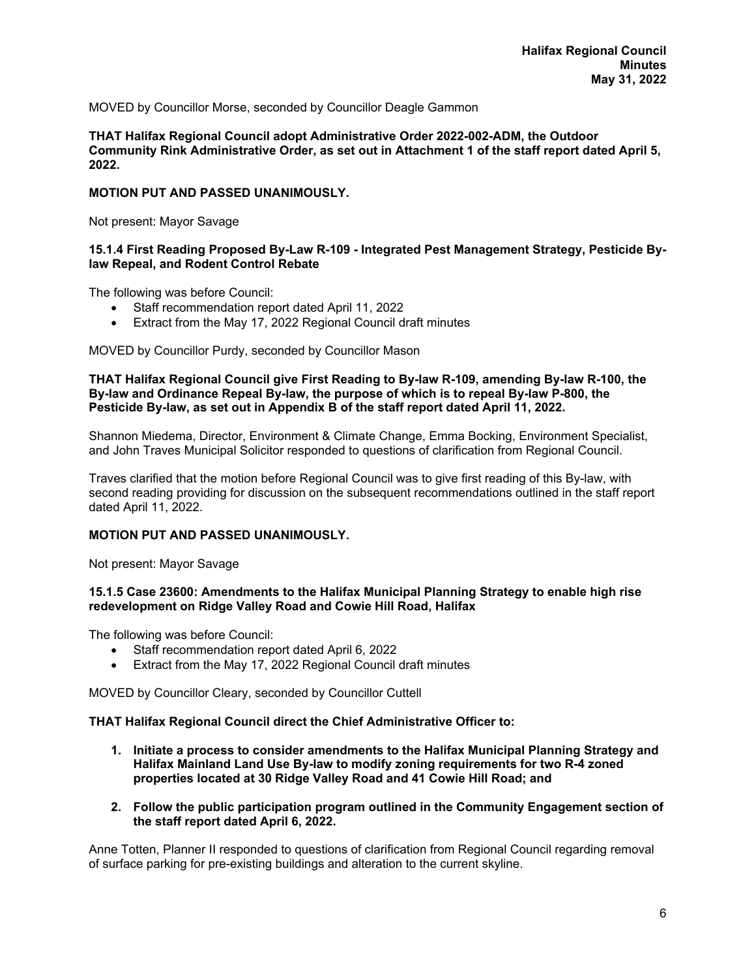MOVED by Councillor Morse, seconded by Councillor Deagle Gammon

#### **THAT Halifax Regional Council adopt Administrative Order 2022-002-ADM, the Outdoor Community Rink Administrative Order, as set out in Attachment 1 of the staff report dated April 5, 2022.**

## **MOTION PUT AND PASSED UNANIMOUSLY.**

Not present: Mayor Savage

#### **15.1.4 First Reading Proposed By-Law R-109 - Integrated Pest Management Strategy, Pesticide Bylaw Repeal, and Rodent Control Rebate**

The following was before Council:

- Staff recommendation report dated April 11, 2022
- Extract from the May 17, 2022 Regional Council draft minutes

MOVED by Councillor Purdy, seconded by Councillor Mason

#### **THAT Halifax Regional Council give First Reading to By-law R-109, amending By-law R-100, the By-law and Ordinance Repeal By-law, the purpose of which is to repeal By-law P-800, the Pesticide By-law, as set out in Appendix B of the staff report dated April 11, 2022.**

Shannon Miedema, Director, Environment & Climate Change, Emma Bocking, Environment Specialist, and John Traves Municipal Solicitor responded to questions of clarification from Regional Council.

Traves clarified that the motion before Regional Council was to give first reading of this By-law, with second reading providing for discussion on the subsequent recommendations outlined in the staff report dated April 11, 2022.

## **MOTION PUT AND PASSED UNANIMOUSLY.**

Not present: Mayor Savage

#### **15.1.5 Case 23600: Amendments to the Halifax Municipal Planning Strategy to enable high rise redevelopment on Ridge Valley Road and Cowie Hill Road, Halifax**

The following was before Council:

- Staff recommendation report dated April 6, 2022
- Extract from the May 17, 2022 Regional Council draft minutes

MOVED by Councillor Cleary, seconded by Councillor Cuttell

#### **THAT Halifax Regional Council direct the Chief Administrative Officer to:**

- **1. Initiate a process to consider amendments to the Halifax Municipal Planning Strategy and Halifax Mainland Land Use By-law to modify zoning requirements for two R-4 zoned properties located at 30 Ridge Valley Road and 41 Cowie Hill Road; and**
- **2. Follow the public participation program outlined in the Community Engagement section of the staff report dated April 6, 2022.**

Anne Totten, Planner II responded to questions of clarification from Regional Council regarding removal of surface parking for pre-existing buildings and alteration to the current skyline.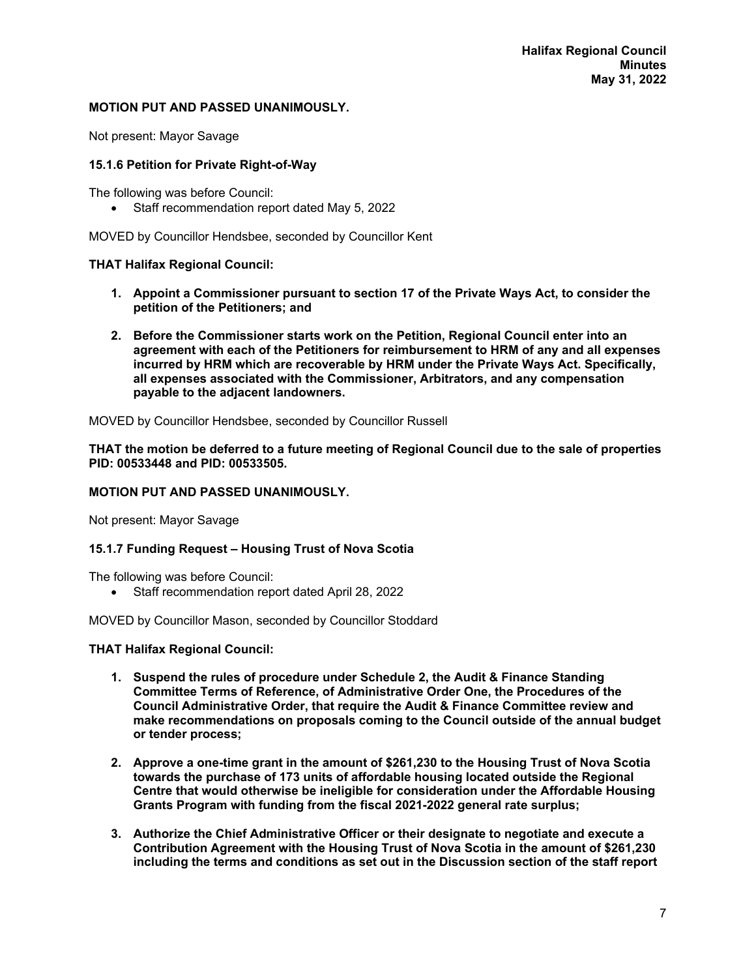## **MOTION PUT AND PASSED UNANIMOUSLY.**

Not present: Mayor Savage

## **15.1.6 Petition for Private Right-of-Way**

The following was before Council:

• Staff recommendation report dated May 5, 2022

MOVED by Councillor Hendsbee, seconded by Councillor Kent

## **THAT Halifax Regional Council:**

- **1. Appoint a Commissioner pursuant to section 17 of the Private Ways Act, to consider the petition of the Petitioners; and**
- **2. Before the Commissioner starts work on the Petition, Regional Council enter into an agreement with each of the Petitioners for reimbursement to HRM of any and all expenses incurred by HRM which are recoverable by HRM under the Private Ways Act. Specifically, all expenses associated with the Commissioner, Arbitrators, and any compensation payable to the adjacent landowners.**

MOVED by Councillor Hendsbee, seconded by Councillor Russell

**THAT the motion be deferred to a future meeting of Regional Council due to the sale of properties PID: 00533448 and PID: 00533505.** 

## **MOTION PUT AND PASSED UNANIMOUSLY.**

Not present: Mayor Savage

## **15.1.7 Funding Request – Housing Trust of Nova Scotia**

The following was before Council:

Staff recommendation report dated April 28, 2022

MOVED by Councillor Mason, seconded by Councillor Stoddard

## **THAT Halifax Regional Council:**

- **1. Suspend the rules of procedure under Schedule 2, the Audit & Finance Standing Committee Terms of Reference, of Administrative Order One, the Procedures of the Council Administrative Order, that require the Audit & Finance Committee review and make recommendations on proposals coming to the Council outside of the annual budget or tender process;**
- **2. Approve a one-time grant in the amount of \$261,230 to the Housing Trust of Nova Scotia towards the purchase of 173 units of affordable housing located outside the Regional Centre that would otherwise be ineligible for consideration under the Affordable Housing Grants Program with funding from the fiscal 2021-2022 general rate surplus;**
- **3. Authorize the Chief Administrative Officer or their designate to negotiate and execute a Contribution Agreement with the Housing Trust of Nova Scotia in the amount of \$261,230 including the terms and conditions as set out in the Discussion section of the staff report**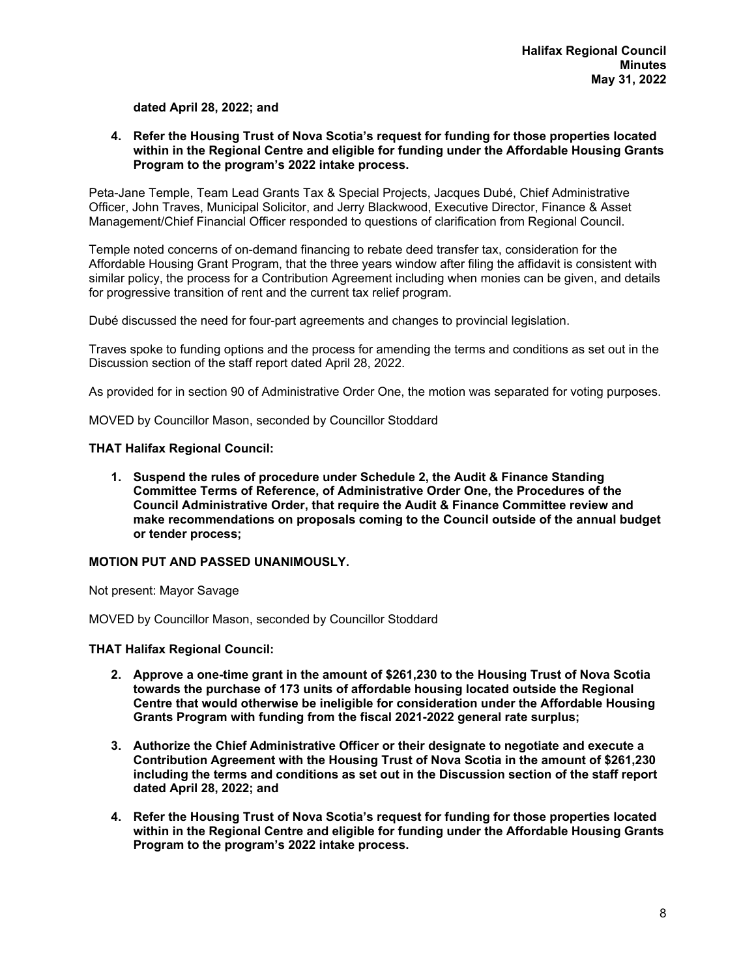## **dated April 28, 2022; and**

**4. Refer the Housing Trust of Nova Scotia's request for funding for those properties located within in the Regional Centre and eligible for funding under the Affordable Housing Grants Program to the program's 2022 intake process.** 

Peta-Jane Temple, Team Lead Grants Tax & Special Projects, Jacques Dubé, Chief Administrative Officer, John Traves, Municipal Solicitor, and Jerry Blackwood, Executive Director, Finance & Asset Management/Chief Financial Officer responded to questions of clarification from Regional Council.

Temple noted concerns of on-demand financing to rebate deed transfer tax, consideration for the Affordable Housing Grant Program, that the three years window after filing the affidavit is consistent with similar policy, the process for a Contribution Agreement including when monies can be given, and details for progressive transition of rent and the current tax relief program.

Dubé discussed the need for four-part agreements and changes to provincial legislation.

Traves spoke to funding options and the process for amending the terms and conditions as set out in the Discussion section of the staff report dated April 28, 2022.

As provided for in section 90 of Administrative Order One, the motion was separated for voting purposes.

MOVED by Councillor Mason, seconded by Councillor Stoddard

#### **THAT Halifax Regional Council:**

**1. Suspend the rules of procedure under Schedule 2, the Audit & Finance Standing Committee Terms of Reference, of Administrative Order One, the Procedures of the Council Administrative Order, that require the Audit & Finance Committee review and make recommendations on proposals coming to the Council outside of the annual budget or tender process;** 

#### **MOTION PUT AND PASSED UNANIMOUSLY.**

Not present: Mayor Savage

MOVED by Councillor Mason, seconded by Councillor Stoddard

#### **THAT Halifax Regional Council:**

- **2. Approve a one-time grant in the amount of \$261,230 to the Housing Trust of Nova Scotia towards the purchase of 173 units of affordable housing located outside the Regional Centre that would otherwise be ineligible for consideration under the Affordable Housing Grants Program with funding from the fiscal 2021-2022 general rate surplus;**
- **3. Authorize the Chief Administrative Officer or their designate to negotiate and execute a Contribution Agreement with the Housing Trust of Nova Scotia in the amount of \$261,230 including the terms and conditions as set out in the Discussion section of the staff report dated April 28, 2022; and**
- **4. Refer the Housing Trust of Nova Scotia's request for funding for those properties located within in the Regional Centre and eligible for funding under the Affordable Housing Grants Program to the program's 2022 intake process.**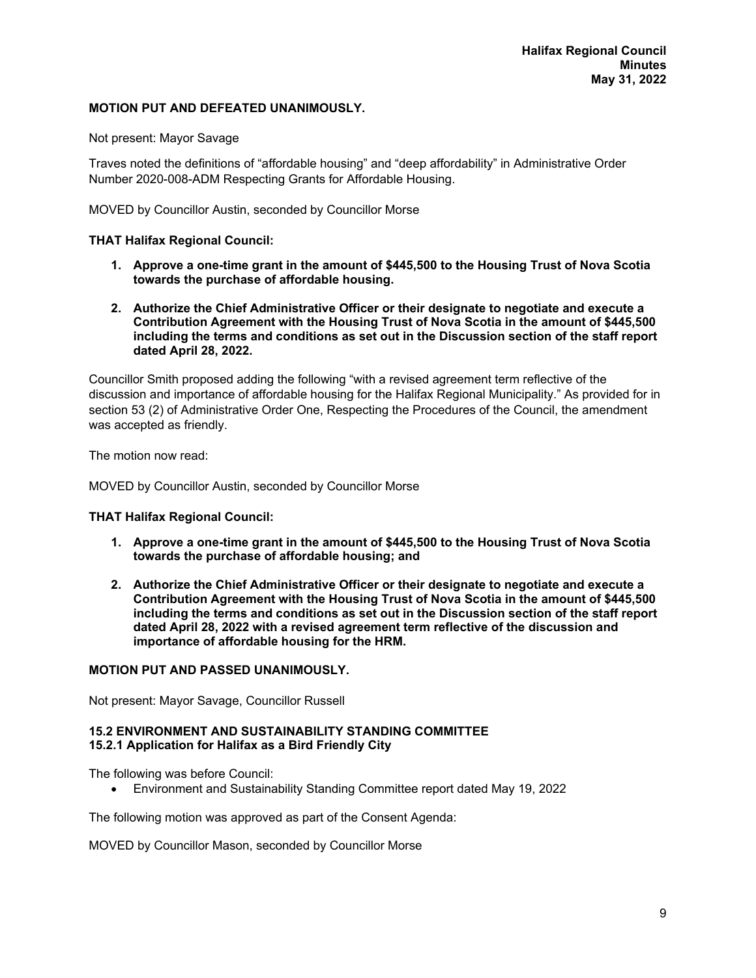## **MOTION PUT AND DEFEATED UNANIMOUSLY.**

Not present: Mayor Savage

Traves noted the definitions of "affordable housing" and "deep affordability" in Administrative Order Number 2020-008-ADM Respecting Grants for Affordable Housing.

MOVED by Councillor Austin, seconded by Councillor Morse

## **THAT Halifax Regional Council:**

- **1. Approve a one-time grant in the amount of \$445,500 to the Housing Trust of Nova Scotia towards the purchase of affordable housing.**
- **2. Authorize the Chief Administrative Officer or their designate to negotiate and execute a Contribution Agreement with the Housing Trust of Nova Scotia in the amount of \$445,500 including the terms and conditions as set out in the Discussion section of the staff report dated April 28, 2022.**

Councillor Smith proposed adding the following "with a revised agreement term reflective of the discussion and importance of affordable housing for the Halifax Regional Municipality." As provided for in section 53 (2) of Administrative Order One, Respecting the Procedures of the Council, the amendment was accepted as friendly.

The motion now read:

MOVED by Councillor Austin, seconded by Councillor Morse

## **THAT Halifax Regional Council:**

- **1. Approve a one-time grant in the amount of \$445,500 to the Housing Trust of Nova Scotia towards the purchase of affordable housing; and**
- **2. Authorize the Chief Administrative Officer or their designate to negotiate and execute a Contribution Agreement with the Housing Trust of Nova Scotia in the amount of \$445,500 including the terms and conditions as set out in the Discussion section of the staff report dated April 28, 2022 with a revised agreement term reflective of the discussion and importance of affordable housing for the HRM.**

## **MOTION PUT AND PASSED UNANIMOUSLY.**

Not present: Mayor Savage, Councillor Russell

## **15.2 ENVIRONMENT AND SUSTAINABILITY STANDING COMMITTEE 15.2.1 Application for Halifax as a Bird Friendly City**

The following was before Council:

Environment and Sustainability Standing Committee report dated May 19, 2022

The following motion was approved as part of the Consent Agenda:

MOVED by Councillor Mason, seconded by Councillor Morse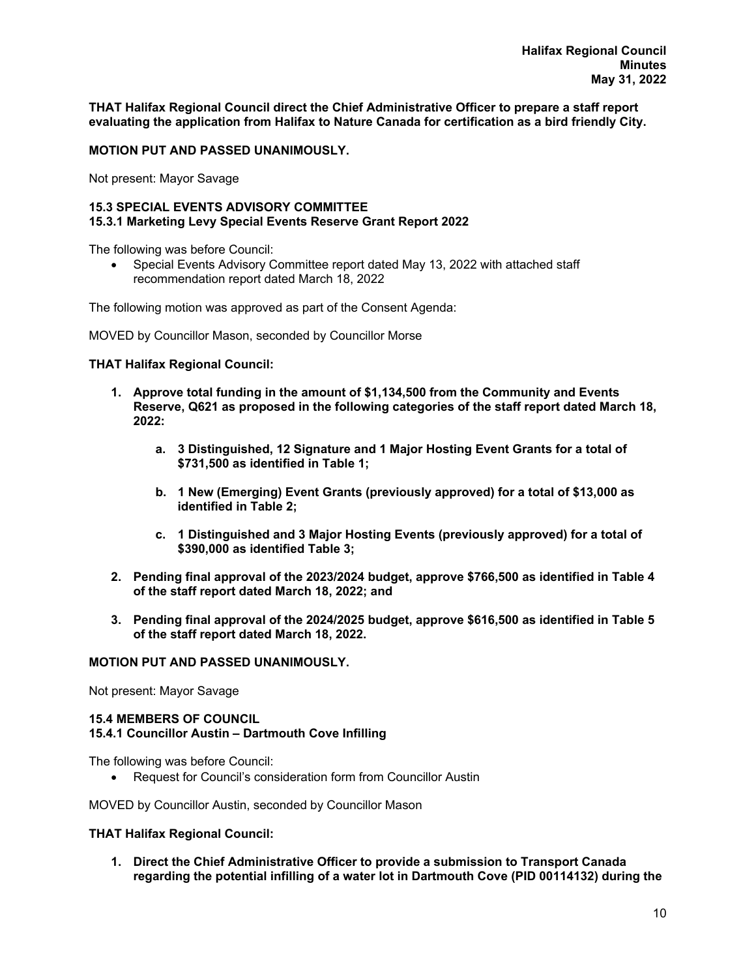**THAT Halifax Regional Council direct the Chief Administrative Officer to prepare a staff report evaluating the application from Halifax to Nature Canada for certification as a bird friendly City.** 

**MOTION PUT AND PASSED UNANIMOUSLY.** 

Not present: Mayor Savage

## **15.3 SPECIAL EVENTS ADVISORY COMMITTEE 15.3.1 Marketing Levy Special Events Reserve Grant Report 2022**

The following was before Council:

 Special Events Advisory Committee report dated May 13, 2022 with attached staff recommendation report dated March 18, 2022

The following motion was approved as part of the Consent Agenda:

MOVED by Councillor Mason, seconded by Councillor Morse

## **THAT Halifax Regional Council:**

- **1. Approve total funding in the amount of \$1,134,500 from the Community and Events Reserve, Q621 as proposed in the following categories of the staff report dated March 18, 2022:** 
	- **a. 3 Distinguished, 12 Signature and 1 Major Hosting Event Grants for a total of \$731,500 as identified in Table 1;**
	- **b. 1 New (Emerging) Event Grants (previously approved) for a total of \$13,000 as identified in Table 2;**
	- **c. 1 Distinguished and 3 Major Hosting Events (previously approved) for a total of \$390,000 as identified Table 3;**
- **2. Pending final approval of the 2023/2024 budget, approve \$766,500 as identified in Table 4 of the staff report dated March 18, 2022; and**
- **3. Pending final approval of the 2024/2025 budget, approve \$616,500 as identified in Table 5 of the staff report dated March 18, 2022.**

## **MOTION PUT AND PASSED UNANIMOUSLY.**

Not present: Mayor Savage

## **15.4 MEMBERS OF COUNCIL 15.4.1 Councillor Austin – Dartmouth Cove Infilling**

The following was before Council:

Request for Council's consideration form from Councillor Austin

MOVED by Councillor Austin, seconded by Councillor Mason

## **THAT Halifax Regional Council:**

**1. Direct the Chief Administrative Officer to provide a submission to Transport Canada regarding the potential infilling of a water lot in Dartmouth Cove (PID 00114132) during the**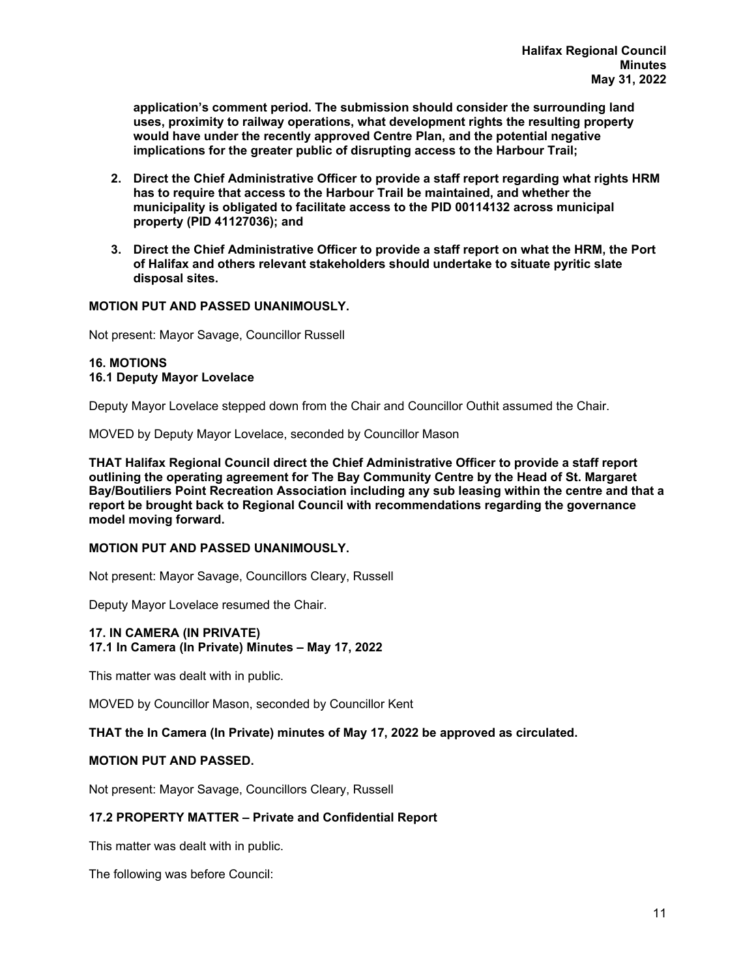**application's comment period. The submission should consider the surrounding land uses, proximity to railway operations, what development rights the resulting property would have under the recently approved Centre Plan, and the potential negative implications for the greater public of disrupting access to the Harbour Trail;** 

- **2. Direct the Chief Administrative Officer to provide a staff report regarding what rights HRM has to require that access to the Harbour Trail be maintained, and whether the municipality is obligated to facilitate access to the PID 00114132 across municipal property (PID 41127036); and**
- **3. Direct the Chief Administrative Officer to provide a staff report on what the HRM, the Port of Halifax and others relevant stakeholders should undertake to situate pyritic slate disposal sites.**

## **MOTION PUT AND PASSED UNANIMOUSLY.**

Not present: Mayor Savage, Councillor Russell

## **16. MOTIONS 16.1 Deputy Mayor Lovelace**

Deputy Mayor Lovelace stepped down from the Chair and Councillor Outhit assumed the Chair.

MOVED by Deputy Mayor Lovelace, seconded by Councillor Mason

**THAT Halifax Regional Council direct the Chief Administrative Officer to provide a staff report outlining the operating agreement for The Bay Community Centre by the Head of St. Margaret Bay/Boutiliers Point Recreation Association including any sub leasing within the centre and that a report be brought back to Regional Council with recommendations regarding the governance model moving forward.** 

## **MOTION PUT AND PASSED UNANIMOUSLY.**

Not present: Mayor Savage, Councillors Cleary, Russell

Deputy Mayor Lovelace resumed the Chair.

## **17. IN CAMERA (IN PRIVATE)**

## **17.1 In Camera (In Private) Minutes – May 17, 2022**

This matter was dealt with in public.

MOVED by Councillor Mason, seconded by Councillor Kent

## **THAT the In Camera (In Private) minutes of May 17, 2022 be approved as circulated.**

## **MOTION PUT AND PASSED.**

Not present: Mayor Savage, Councillors Cleary, Russell

## **17.2 PROPERTY MATTER – Private and Confidential Report**

This matter was dealt with in public.

The following was before Council: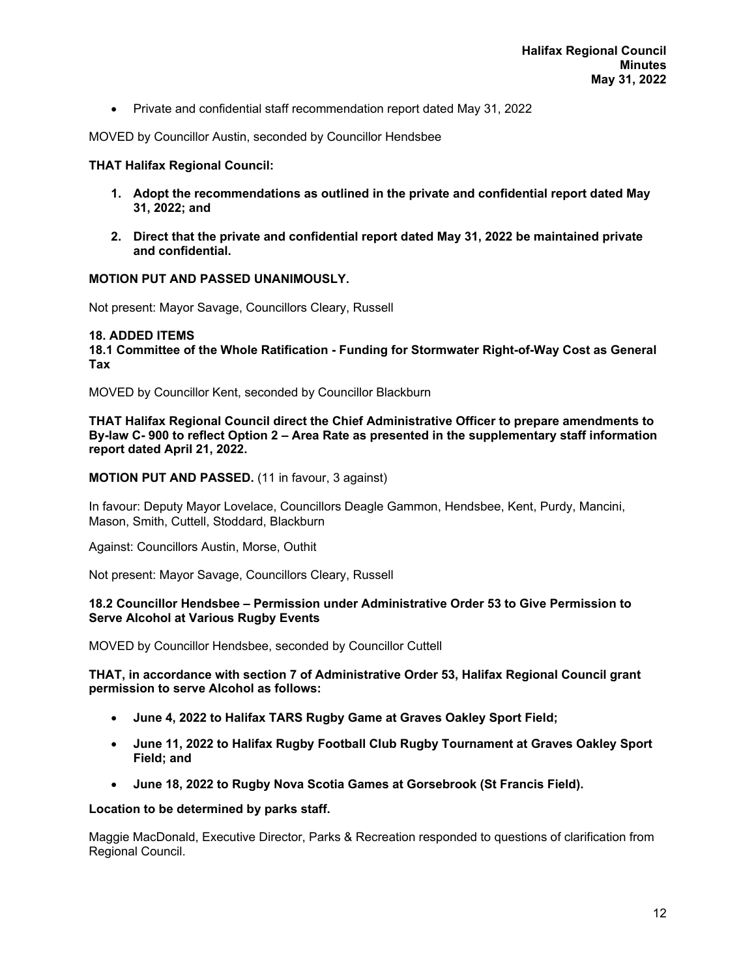Private and confidential staff recommendation report dated May 31, 2022

MOVED by Councillor Austin, seconded by Councillor Hendsbee

#### **THAT Halifax Regional Council:**

- **1. Adopt the recommendations as outlined in the private and confidential report dated May 31, 2022; and**
- **2. Direct that the private and confidential report dated May 31, 2022 be maintained private and confidential.**

## **MOTION PUT AND PASSED UNANIMOUSLY.**

Not present: Mayor Savage, Councillors Cleary, Russell

#### **18. ADDED ITEMS**

**18.1 Committee of the Whole Ratification - Funding for Stormwater Right-of-Way Cost as General Tax** 

MOVED by Councillor Kent, seconded by Councillor Blackburn

**THAT Halifax Regional Council direct the Chief Administrative Officer to prepare amendments to By-law C- 900 to reflect Option 2 – Area Rate as presented in the supplementary staff information report dated April 21, 2022.** 

**MOTION PUT AND PASSED.** (11 in favour, 3 against)

In favour: Deputy Mayor Lovelace, Councillors Deagle Gammon, Hendsbee, Kent, Purdy, Mancini, Mason, Smith, Cuttell, Stoddard, Blackburn

Against: Councillors Austin, Morse, Outhit

Not present: Mayor Savage, Councillors Cleary, Russell

## **18.2 Councillor Hendsbee – Permission under Administrative Order 53 to Give Permission to Serve Alcohol at Various Rugby Events**

MOVED by Councillor Hendsbee, seconded by Councillor Cuttell

**THAT, in accordance with section 7 of Administrative Order 53, Halifax Regional Council grant permission to serve Alcohol as follows:** 

- **June 4, 2022 to Halifax TARS Rugby Game at Graves Oakley Sport Field;**
- **June 11, 2022 to Halifax Rugby Football Club Rugby Tournament at Graves Oakley Sport Field; and**
- **June 18, 2022 to Rugby Nova Scotia Games at Gorsebrook (St Francis Field).**

#### **Location to be determined by parks staff.**

Maggie MacDonald, Executive Director, Parks & Recreation responded to questions of clarification from Regional Council.